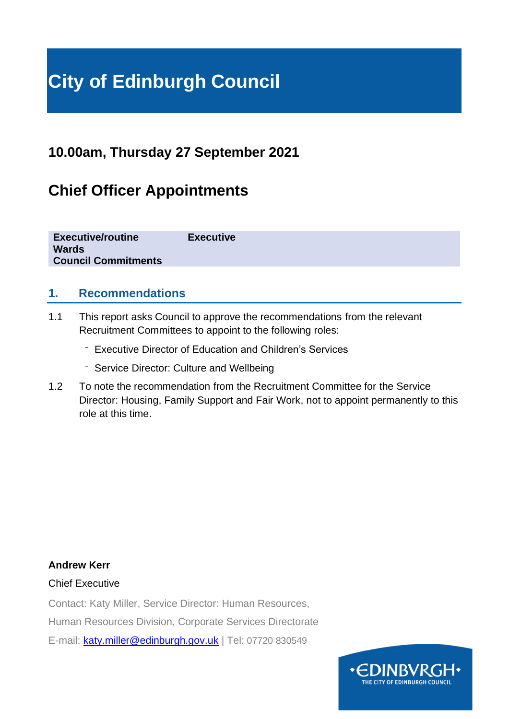# **City of Edinburgh Council**

# **10.00am, Thursday 27 September 2021**

# **Chief Officer Appointments**

| <b>Executive/routine</b>   | <b>Executive</b> |
|----------------------------|------------------|
| <b>Wards</b>               |                  |
| <b>Council Commitments</b> |                  |

# **1. Recommendations**

- 1.1 This report asks Council to approve the recommendations from the relevant Recruitment Committees to appoint to the following roles:
	- ⁻ Executive Director of Education and Children's Services
	- Service Director: Culture and Wellbeing
- 1.2 To note the recommendation from the Recruitment Committee for the Service Director: Housing, Family Support and Fair Work, not to appoint permanently to this role at this time.

#### **Andrew Kerr**

#### Chief Executive

Contact: Katy Miller, Service Director: Human Resources,

Human Resources Division, Corporate Services Directorate

E-mail: [katy.miller@edinburgh.gov.uk](mailto:katy.miller@edinburgh.gov.uk) | Tel: 07720 830549

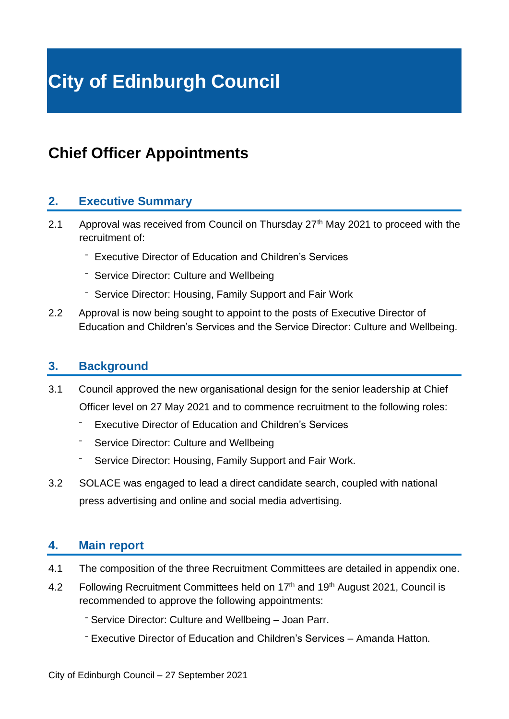# **City of Edinburgh Council**

# **Chief Officer Appointments**

# **2. Executive Summary**

- 2.1 Approval was received from Council on Thursday 27<sup>th</sup> May 2021 to proceed with the recruitment of:
	- ⁻ Executive Director of Education and Children's Services
	- ⁻ Service Director: Culture and Wellbeing
	- ⁻ Service Director: Housing, Family Support and Fair Work
- 2.2 Approval is now being sought to appoint to the posts of Executive Director of Education and Children's Services and the Service Director: Culture and Wellbeing.

### **3. Background**

- 3.1 Council approved the new organisational design for the senior leadership at Chief Officer level on 27 May 2021 and to commence recruitment to the following roles:
	- Executive Director of Education and Children's Services
	- Service Director: Culture and Wellbeing
	- Service Director: Housing, Family Support and Fair Work.
- 3.2 SOLACE was engaged to lead a direct candidate search, coupled with national press advertising and online and social media advertising.

#### **4. Main report**

- 4.1 The composition of the three Recruitment Committees are detailed in appendix one.
- 4.2 Following Recruitment Committees held on 17<sup>th</sup> and 19<sup>th</sup> August 2021, Council is recommended to approve the following appointments:
	- Service Director: Culture and Wellbeing Joan Parr.
	- ⁻ Executive Director of Education and Children's Services Amanda Hatton.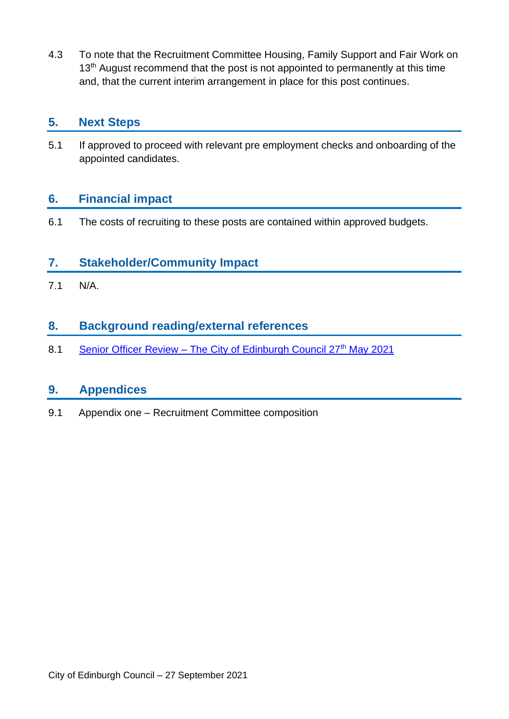4.3 To note that the Recruitment Committee Housing, Family Support and Fair Work on 13<sup>th</sup> August recommend that the post is not appointed to permanently at this time and, that the current interim arrangement in place for this post continues.

### **5. Next Steps**

5.1 If approved to proceed with relevant pre employment checks and onboarding of the appointed candidates.

# **6. Financial impact**

6.1 The costs of recruiting to these posts are contained within approved budgets.

# **7. Stakeholder/Community Impact**

7.1 N/A.

# **8. Background reading/external references**

8.1 Senior Officer Review – [The City of Edinburgh Council 27](file:///C:/Users/9070446/AppData/Local/Microsoft/Windows/INetCache/Content.Outlook/YFGJ0SDG/1.1%09Senior%20Officer%20Review%20–%20The%20City%20of%20Edinburgh%20Council%2027%20May%202021)<sup>th</sup> May 2021

## **9. Appendices**

9.1 Appendix one – Recruitment Committee composition